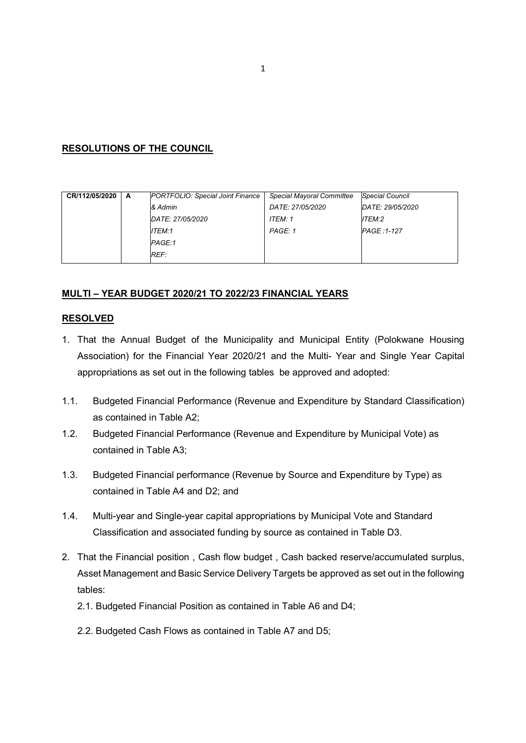### RESOLUTIONS OF THE COUNCIL

| CR/112/05/2020 | A | PORTFOLIO: Special Joint Finance | <b>Special Mayoral Committee</b> | <b>Special Council</b> |
|----------------|---|----------------------------------|----------------------------------|------------------------|
|                |   | & Admin                          | DATE: 27/05/2020                 | DATE: 29/05/2020       |
|                |   | DATE: 27/05/2020                 | ITEM: 1                          | ITEM:2                 |
|                |   | ITEM:1                           | PAGE: 1                          | PAGE: 1-127            |
|                |   | PAGE:1                           |                                  |                        |
|                |   | REF:                             |                                  |                        |

## MULTI – YEAR BUDGET 2020/21 TO 2022/23 FINANCIAL YEARS

#### RESOLVED

- 1. That the Annual Budget of the Municipality and Municipal Entity (Polokwane Housing Association) for the Financial Year 2020/21 and the Multi- Year and Single Year Capital appropriations as set out in the following tables be approved and adopted:
- 1.1. Budgeted Financial Performance (Revenue and Expenditure by Standard Classification) as contained in Table A2;
- 1.2. Budgeted Financial Performance (Revenue and Expenditure by Municipal Vote) as contained in Table A3;
- 1.3. Budgeted Financial performance (Revenue by Source and Expenditure by Type) as contained in Table A4 and D2; and
- 1.4. Multi-year and Single-year capital appropriations by Municipal Vote and Standard Classification and associated funding by source as contained in Table D3.
- 2. That the Financial position , Cash flow budget , Cash backed reserve/accumulated surplus, Asset Management and Basic Service Delivery Targets be approved as set out in the following tables:
	- 2.1. Budgeted Financial Position as contained in Table A6 and D4;
	- 2.2. Budgeted Cash Flows as contained in Table A7 and D5;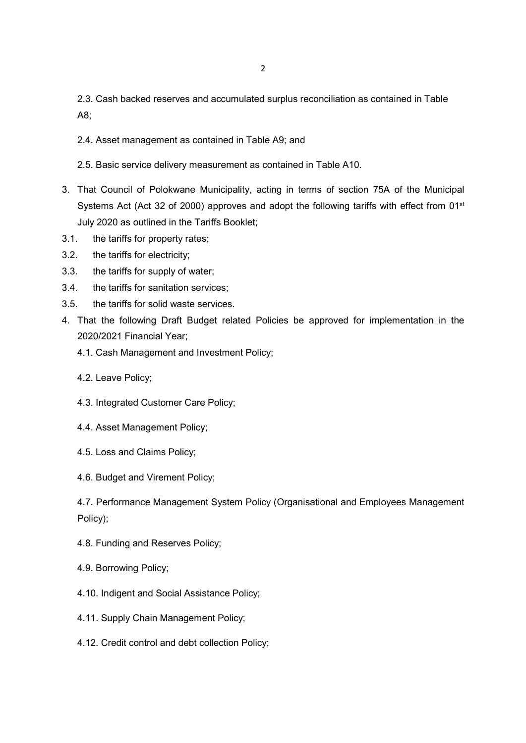2.3. Cash backed reserves and accumulated surplus reconciliation as contained in Table A8;

- 2.4. Asset management as contained in Table A9; and
- 2.5. Basic service delivery measurement as contained in Table A10.
- 3. That Council of Polokwane Municipality, acting in terms of section 75A of the Municipal Systems Act (Act 32 of 2000) approves and adopt the following tariffs with effect from 01<sup>st</sup> July 2020 as outlined in the Tariffs Booklet;
- 3.1. the tariffs for property rates;
- 3.2. the tariffs for electricity;
- 3.3. the tariffs for supply of water;
- 3.4. the tariffs for sanitation services;
- 3.5. the tariffs for solid waste services.
- 4. That the following Draft Budget related Policies be approved for implementation in the 2020/2021 Financial Year;
	- 4.1. Cash Management and Investment Policy;
	- 4.2. Leave Policy;
	- 4.3. Integrated Customer Care Policy;
	- 4.4. Asset Management Policy;
	- 4.5. Loss and Claims Policy;
	- 4.6. Budget and Virement Policy;

4.7. Performance Management System Policy (Organisational and Employees Management Policy);

- 4.8. Funding and Reserves Policy;
- 4.9. Borrowing Policy;
- 4.10. Indigent and Social Assistance Policy;
- 4.11. Supply Chain Management Policy;
- 4.12. Credit control and debt collection Policy;